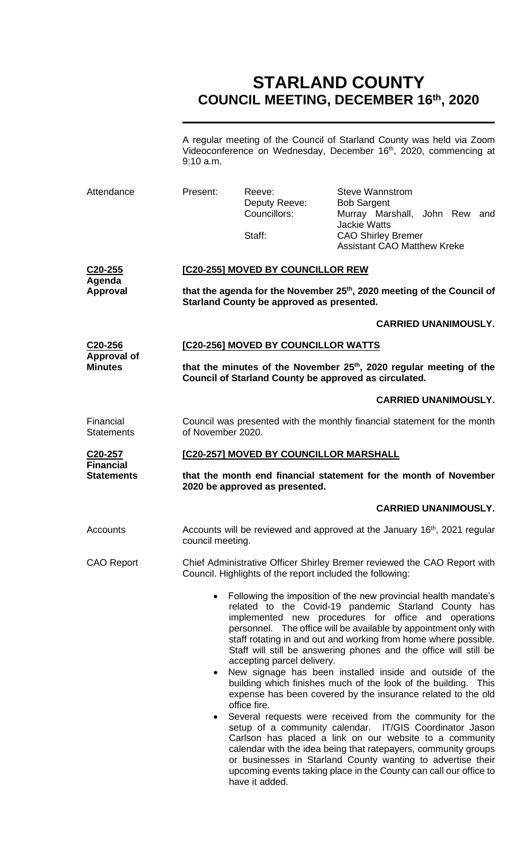# **STARLAND COUNTY COUNCIL MEETING, DECEMBER 16th, 2020**

A regular meeting of the Council of Starland County was held via Zoom Videoconference on Wednesday, December 16<sup>th</sup>, 2020, commencing at 9:10 a.m.

| Attendance                                                   | Present:                                                                                                                                                             | Reeve:<br>Deputy Reeve:<br>Councillors:<br>Staff:                                                                                                                                                                                                                                                                                                                                                                                                                                                                                                                                                                                                                                                                                                                                                                                                                                                                                                                                                                                                  | <b>Steve Wannstrom</b><br><b>Bob Sargent</b><br>Murray Marshall, John Rew and<br><b>Jackie Watts</b><br><b>CAO Shirley Bremer</b><br><b>Assistant CAO Matthew Kreke</b> |                             |  |
|--------------------------------------------------------------|----------------------------------------------------------------------------------------------------------------------------------------------------------------------|----------------------------------------------------------------------------------------------------------------------------------------------------------------------------------------------------------------------------------------------------------------------------------------------------------------------------------------------------------------------------------------------------------------------------------------------------------------------------------------------------------------------------------------------------------------------------------------------------------------------------------------------------------------------------------------------------------------------------------------------------------------------------------------------------------------------------------------------------------------------------------------------------------------------------------------------------------------------------------------------------------------------------------------------------|-------------------------------------------------------------------------------------------------------------------------------------------------------------------------|-----------------------------|--|
| C <sub>20</sub> -255<br>Agenda<br><b>Approval</b>            | [C20-255] MOVED BY COUNCILLOR REW<br>that the agenda for the November 25 <sup>th</sup> , 2020 meeting of the Council of<br>Starland County be approved as presented. |                                                                                                                                                                                                                                                                                                                                                                                                                                                                                                                                                                                                                                                                                                                                                                                                                                                                                                                                                                                                                                                    |                                                                                                                                                                         |                             |  |
|                                                              |                                                                                                                                                                      |                                                                                                                                                                                                                                                                                                                                                                                                                                                                                                                                                                                                                                                                                                                                                                                                                                                                                                                                                                                                                                                    |                                                                                                                                                                         | <b>CARRIED UNANIMOUSLY.</b> |  |
| C <sub>20</sub> -256<br><b>Approval of</b><br><b>Minutes</b> | [C20-256] MOVED BY COUNCILLOR WATTS                                                                                                                                  |                                                                                                                                                                                                                                                                                                                                                                                                                                                                                                                                                                                                                                                                                                                                                                                                                                                                                                                                                                                                                                                    |                                                                                                                                                                         |                             |  |
|                                                              | that the minutes of the November 25 <sup>th</sup> , 2020 regular meeting of the<br>Council of Starland County be approved as circulated.                             |                                                                                                                                                                                                                                                                                                                                                                                                                                                                                                                                                                                                                                                                                                                                                                                                                                                                                                                                                                                                                                                    |                                                                                                                                                                         |                             |  |
|                                                              |                                                                                                                                                                      |                                                                                                                                                                                                                                                                                                                                                                                                                                                                                                                                                                                                                                                                                                                                                                                                                                                                                                                                                                                                                                                    |                                                                                                                                                                         | <b>CARRIED UNANIMOUSLY.</b> |  |
| Financial<br><b>Statements</b>                               | Council was presented with the monthly financial statement for the month<br>of November 2020.                                                                        |                                                                                                                                                                                                                                                                                                                                                                                                                                                                                                                                                                                                                                                                                                                                                                                                                                                                                                                                                                                                                                                    |                                                                                                                                                                         |                             |  |
| C <sub>20</sub> -257<br><b>Financial</b>                     | [C20-257] MOVED BY COUNCILLOR MARSHALL                                                                                                                               |                                                                                                                                                                                                                                                                                                                                                                                                                                                                                                                                                                                                                                                                                                                                                                                                                                                                                                                                                                                                                                                    |                                                                                                                                                                         |                             |  |
| <b>Statements</b>                                            | that the month end financial statement for the month of November<br>2020 be approved as presented.                                                                   |                                                                                                                                                                                                                                                                                                                                                                                                                                                                                                                                                                                                                                                                                                                                                                                                                                                                                                                                                                                                                                                    |                                                                                                                                                                         |                             |  |
|                                                              |                                                                                                                                                                      |                                                                                                                                                                                                                                                                                                                                                                                                                                                                                                                                                                                                                                                                                                                                                                                                                                                                                                                                                                                                                                                    |                                                                                                                                                                         | <b>CARRIED UNANIMOUSLY.</b> |  |
| Accounts                                                     | council meeting.                                                                                                                                                     | Accounts will be reviewed and approved at the January 16 <sup>th</sup> , 2021 regular                                                                                                                                                                                                                                                                                                                                                                                                                                                                                                                                                                                                                                                                                                                                                                                                                                                                                                                                                              |                                                                                                                                                                         |                             |  |
| <b>CAO Report</b>                                            |                                                                                                                                                                      | Chief Administrative Officer Shirley Bremer reviewed the CAO Report with<br>Council. Highlights of the report included the following:                                                                                                                                                                                                                                                                                                                                                                                                                                                                                                                                                                                                                                                                                                                                                                                                                                                                                                              |                                                                                                                                                                         |                             |  |
|                                                              | $\bullet$<br>٠<br>$\bullet$                                                                                                                                          | Following the imposition of the new provincial health mandate's<br>related to the Covid-19 pandemic Starland County has<br>implemented new procedures for office and operations<br>personnel. The office will be available by appointment only with<br>staff rotating in and out and working from home where possible.<br>Staff will still be answering phones and the office will still be<br>accepting parcel delivery.<br>New signage has been installed inside and outside of the<br>building which finishes much of the look of the building. This<br>expense has been covered by the insurance related to the old<br>office fire.<br>Several requests were received from the community for the<br>setup of a community calendar. IT/GIS Coordinator Jason<br>Carlson has placed a link on our website to a community<br>calendar with the idea being that ratepayers, community groups<br>or businesses in Starland County wanting to advertise their<br>upcoming events taking place in the County can call our office to<br>have it added. |                                                                                                                                                                         |                             |  |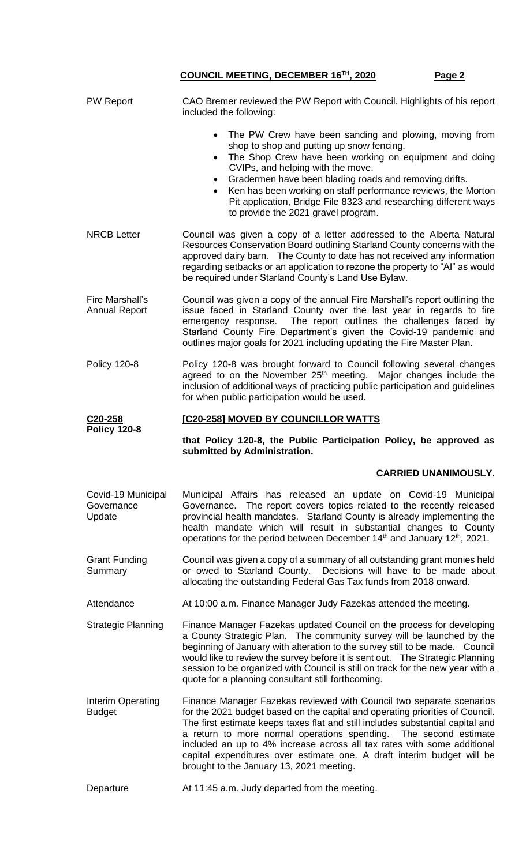| <b>PW Report</b>                           | CAO Bremer reviewed the PW Report with Council. Highlights of his report<br>included the following:                                                                                                                                                                                                                                                                                                                                                                                                          |  |  |  |
|--------------------------------------------|--------------------------------------------------------------------------------------------------------------------------------------------------------------------------------------------------------------------------------------------------------------------------------------------------------------------------------------------------------------------------------------------------------------------------------------------------------------------------------------------------------------|--|--|--|
|                                            | The PW Crew have been sanding and plowing, moving from<br>$\bullet$<br>shop to shop and putting up snow fencing.<br>The Shop Crew have been working on equipment and doing<br>$\bullet$<br>CVIPs, and helping with the move.<br>Gradermen have been blading roads and removing drifts.<br>$\bullet$<br>Ken has been working on staff performance reviews, the Morton<br>Pit application, Bridge File 8323 and researching different ways<br>to provide the 2021 gravel program.                              |  |  |  |
| <b>NRCB Letter</b>                         | Council was given a copy of a letter addressed to the Alberta Natural<br>Resources Conservation Board outlining Starland County concerns with the<br>approved dairy barn. The County to date has not received any information<br>regarding setbacks or an application to rezone the property to "Al" as would<br>be required under Starland County's Land Use Bylaw.                                                                                                                                         |  |  |  |
| Fire Marshall's<br><b>Annual Report</b>    | Council was given a copy of the annual Fire Marshall's report outlining the<br>issue faced in Starland County over the last year in regards to fire<br>emergency response. The report outlines the challenges faced by<br>Starland County Fire Department's given the Covid-19 pandemic and<br>outlines major goals for 2021 including updating the Fire Master Plan.                                                                                                                                        |  |  |  |
| <b>Policy 120-8</b>                        | Policy 120-8 was brought forward to Council following several changes<br>agreed to on the November 25 <sup>th</sup> meeting. Major changes include the<br>inclusion of additional ways of practicing public participation and guidelines<br>for when public participation would be used.                                                                                                                                                                                                                     |  |  |  |
| C20-258<br><b>Policy 120-8</b>             | [C20-258] MOVED BY COUNCILLOR WATTS                                                                                                                                                                                                                                                                                                                                                                                                                                                                          |  |  |  |
|                                            |                                                                                                                                                                                                                                                                                                                                                                                                                                                                                                              |  |  |  |
|                                            | that Policy 120-8, the Public Participation Policy, be approved as<br>submitted by Administration.                                                                                                                                                                                                                                                                                                                                                                                                           |  |  |  |
|                                            | <b>CARRIED UNANIMOUSLY.</b>                                                                                                                                                                                                                                                                                                                                                                                                                                                                                  |  |  |  |
| Covid-19 Municipal<br>Governance<br>Update | Municipal Affairs has released an update on Covid-19 Municipal<br>Governance. The report covers topics related to the recently released<br>provincial health mandates. Starland County is already implementing the<br>health mandate which will result in substantial changes to County<br>operations for the period between December 14 <sup>th</sup> and January 12 <sup>th</sup> , 2021.                                                                                                                  |  |  |  |
| <b>Grant Funding</b><br>Summary            | Council was given a copy of a summary of all outstanding grant monies held<br>or owed to Starland County. Decisions will have to be made about<br>allocating the outstanding Federal Gas Tax funds from 2018 onward.                                                                                                                                                                                                                                                                                         |  |  |  |
| Attendance                                 | At 10:00 a.m. Finance Manager Judy Fazekas attended the meeting.                                                                                                                                                                                                                                                                                                                                                                                                                                             |  |  |  |
| <b>Strategic Planning</b>                  | Finance Manager Fazekas updated Council on the process for developing<br>a County Strategic Plan. The community survey will be launched by the<br>beginning of January with alteration to the survey still to be made. Council<br>would like to review the survey before it is sent out.  The Strategic Planning<br>session to be organized with Council is still on track for the new year with a<br>quote for a planning consultant still forthcoming.                                                     |  |  |  |
| Interim Operating<br><b>Budget</b>         | Finance Manager Fazekas reviewed with Council two separate scenarios<br>for the 2021 budget based on the capital and operating priorities of Council.<br>The first estimate keeps taxes flat and still includes substantial capital and<br>a return to more normal operations spending. The second estimate<br>included an up to 4% increase across all tax rates with some additional<br>capital expenditures over estimate one. A draft interim budget will be<br>brought to the January 13, 2021 meeting. |  |  |  |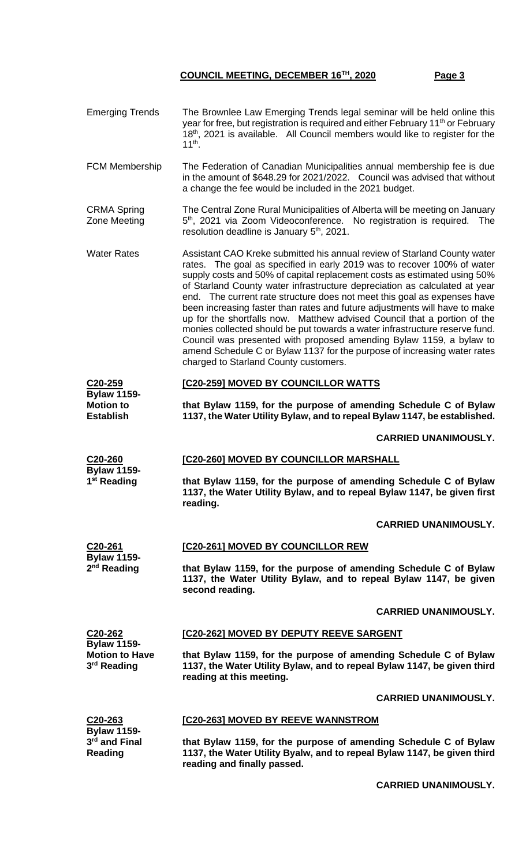| <b>Emerging Trends</b>                                                            | The Brownlee Law Emerging Trends legal seminar will be held online this<br>year for free, but registration is required and either February 11 <sup>th</sup> or February<br>18 <sup>th</sup> , 2021 is available. All Council members would like to register for the<br>$11^{th}$ .                                                                                                                                                                                                                                                                                                                                                                                                                                                                                                                                             |  |  |  |
|-----------------------------------------------------------------------------------|--------------------------------------------------------------------------------------------------------------------------------------------------------------------------------------------------------------------------------------------------------------------------------------------------------------------------------------------------------------------------------------------------------------------------------------------------------------------------------------------------------------------------------------------------------------------------------------------------------------------------------------------------------------------------------------------------------------------------------------------------------------------------------------------------------------------------------|--|--|--|
| FCM Membership                                                                    | The Federation of Canadian Municipalities annual membership fee is due<br>in the amount of \$648.29 for 2021/2022. Council was advised that without<br>a change the fee would be included in the 2021 budget.                                                                                                                                                                                                                                                                                                                                                                                                                                                                                                                                                                                                                  |  |  |  |
| <b>CRMA Spring</b><br>Zone Meeting                                                | The Central Zone Rural Municipalities of Alberta will be meeting on January<br>5 <sup>th</sup> , 2021 via Zoom Videoconference. No registration is required. The<br>resolution deadline is January 5 <sup>th</sup> , 2021.                                                                                                                                                                                                                                                                                                                                                                                                                                                                                                                                                                                                     |  |  |  |
| <b>Water Rates</b>                                                                | Assistant CAO Kreke submitted his annual review of Starland County water<br>rates. The goal as specified in early 2019 was to recover 100% of water<br>supply costs and 50% of capital replacement costs as estimated using 50%<br>of Starland County water infrastructure depreciation as calculated at year<br>end. The current rate structure does not meet this goal as expenses have<br>been increasing faster than rates and future adjustments will have to make<br>up for the shortfalls now. Matthew advised Council that a portion of the<br>monies collected should be put towards a water infrastructure reserve fund.<br>Council was presented with proposed amending Bylaw 1159, a bylaw to<br>amend Schedule C or Bylaw 1137 for the purpose of increasing water rates<br>charged to Starland County customers. |  |  |  |
| C20-259<br><b>Bylaw 1159-</b><br><b>Motion to</b><br><b>Establish</b>             | [C20-259] MOVED BY COUNCILLOR WATTS                                                                                                                                                                                                                                                                                                                                                                                                                                                                                                                                                                                                                                                                                                                                                                                            |  |  |  |
|                                                                                   | that Bylaw 1159, for the purpose of amending Schedule C of Bylaw<br>1137, the Water Utility Bylaw, and to repeal Bylaw 1147, be established.                                                                                                                                                                                                                                                                                                                                                                                                                                                                                                                                                                                                                                                                                   |  |  |  |
|                                                                                   | <b>CARRIED UNANIMOUSLY.</b>                                                                                                                                                                                                                                                                                                                                                                                                                                                                                                                                                                                                                                                                                                                                                                                                    |  |  |  |
| C <sub>20</sub> -260<br><b>Bylaw 1159-</b><br>1 <sup>st</sup> Reading             | [C20-260] MOVED BY COUNCILLOR MARSHALL                                                                                                                                                                                                                                                                                                                                                                                                                                                                                                                                                                                                                                                                                                                                                                                         |  |  |  |
|                                                                                   | that Bylaw 1159, for the purpose of amending Schedule C of Bylaw<br>1137, the Water Utility Bylaw, and to repeal Bylaw 1147, be given first<br>reading.                                                                                                                                                                                                                                                                                                                                                                                                                                                                                                                                                                                                                                                                        |  |  |  |
|                                                                                   | <b>CARRIED UNANIMOUSLY.</b>                                                                                                                                                                                                                                                                                                                                                                                                                                                                                                                                                                                                                                                                                                                                                                                                    |  |  |  |
| C20-261<br><b>Bylaw 1159-</b><br>2 <sup>nd</sup> Reading                          | [C20-261] MOVED BY COUNCILLOR REW                                                                                                                                                                                                                                                                                                                                                                                                                                                                                                                                                                                                                                                                                                                                                                                              |  |  |  |
|                                                                                   | that Bylaw 1159, for the purpose of amending Schedule C of Bylaw<br>1137, the Water Utility Bylaw, and to repeal Bylaw 1147, be given<br>second reading.                                                                                                                                                                                                                                                                                                                                                                                                                                                                                                                                                                                                                                                                       |  |  |  |
|                                                                                   | <b>CARRIED UNANIMOUSLY.</b>                                                                                                                                                                                                                                                                                                                                                                                                                                                                                                                                                                                                                                                                                                                                                                                                    |  |  |  |
| C20-262<br><b>Bylaw 1159-</b><br><b>Motion to Have</b><br>3 <sup>rd</sup> Reading | <b>[C20-262] MOVED BY DEPUTY REEVE SARGENT</b>                                                                                                                                                                                                                                                                                                                                                                                                                                                                                                                                                                                                                                                                                                                                                                                 |  |  |  |
|                                                                                   | that Bylaw 1159, for the purpose of amending Schedule C of Bylaw<br>1137, the Water Utility Bylaw, and to repeal Bylaw 1147, be given third<br>reading at this meeting.                                                                                                                                                                                                                                                                                                                                                                                                                                                                                                                                                                                                                                                        |  |  |  |
|                                                                                   | <b>CARRIED UNANIMOUSLY.</b>                                                                                                                                                                                                                                                                                                                                                                                                                                                                                                                                                                                                                                                                                                                                                                                                    |  |  |  |
| C20-263<br><b>Bylaw 1159-</b><br>3rd and Final<br>Reading                         | [C20-263] MOVED BY REEVE WANNSTROM                                                                                                                                                                                                                                                                                                                                                                                                                                                                                                                                                                                                                                                                                                                                                                                             |  |  |  |
|                                                                                   | that Bylaw 1159, for the purpose of amending Schedule C of Bylaw<br>1137, the Water Utility Byalw, and to repeal Bylaw 1147, be given third<br>reading and finally passed.                                                                                                                                                                                                                                                                                                                                                                                                                                                                                                                                                                                                                                                     |  |  |  |

**CARRIED UNANIMOUSLY.**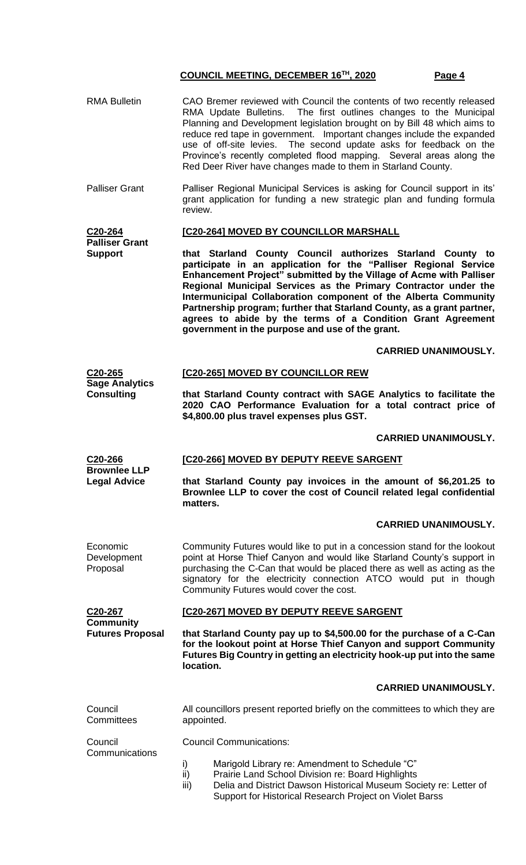RMA Bulletin CAO Bremer reviewed with Council the contents of two recently released

|                                                                    | RMA Update Bulletins. The first outlines changes to the Municipal<br>Planning and Development legislation brought on by Bill 48 which aims to<br>reduce red tape in government. Important changes include the expanded<br>use of off-site levies. The second update asks for feedback on the<br>Province's recently completed flood mapping. Several areas along the<br>Red Deer River have changes made to them in Starland County.                                                                                                    |  |  |  |
|--------------------------------------------------------------------|-----------------------------------------------------------------------------------------------------------------------------------------------------------------------------------------------------------------------------------------------------------------------------------------------------------------------------------------------------------------------------------------------------------------------------------------------------------------------------------------------------------------------------------------|--|--|--|
| <b>Palliser Grant</b>                                              | Palliser Regional Municipal Services is asking for Council support in its'<br>grant application for funding a new strategic plan and funding formula<br>review.                                                                                                                                                                                                                                                                                                                                                                         |  |  |  |
| C20-264                                                            | [C20-264] MOVED BY COUNCILLOR MARSHALL                                                                                                                                                                                                                                                                                                                                                                                                                                                                                                  |  |  |  |
| <b>Palliser Grant</b><br><b>Support</b>                            | that Starland County Council authorizes Starland County to<br>participate in an application for the "Palliser Regional Service<br>Enhancement Project" submitted by the Village of Acme with Palliser<br>Regional Municipal Services as the Primary Contractor under the<br>Intermunicipal Collaboration component of the Alberta Community<br>Partnership program; further that Starland County, as a grant partner,<br>agrees to abide by the terms of a Condition Grant Agreement<br>government in the purpose and use of the grant. |  |  |  |
|                                                                    | <b>CARRIED UNANIMOUSLY.</b>                                                                                                                                                                                                                                                                                                                                                                                                                                                                                                             |  |  |  |
| C20-265<br><b>Sage Analytics</b><br><b>Consulting</b>              | [C20-265] MOVED BY COUNCILLOR REW                                                                                                                                                                                                                                                                                                                                                                                                                                                                                                       |  |  |  |
|                                                                    | that Starland County contract with SAGE Analytics to facilitate the<br>2020 CAO Performance Evaluation for a total contract price of<br>\$4,800.00 plus travel expenses plus GST.                                                                                                                                                                                                                                                                                                                                                       |  |  |  |
|                                                                    | <b>CARRIED UNANIMOUSLY.</b>                                                                                                                                                                                                                                                                                                                                                                                                                                                                                                             |  |  |  |
| C <sub>20</sub> -266<br><b>Brownlee LLP</b><br><b>Legal Advice</b> | [C20-266] MOVED BY DEPUTY REEVE SARGENT                                                                                                                                                                                                                                                                                                                                                                                                                                                                                                 |  |  |  |
|                                                                    | that Starland County pay invoices in the amount of \$6,201.25 to<br>Brownlee LLP to cover the cost of Council related legal confidential<br>matters.                                                                                                                                                                                                                                                                                                                                                                                    |  |  |  |
|                                                                    | <b>CARRIED UNANIMOUSLY.</b>                                                                                                                                                                                                                                                                                                                                                                                                                                                                                                             |  |  |  |
| Economic<br>Development<br>Proposal                                | Community Futures would like to put in a concession stand for the lookout<br>point at Horse Thief Canyon and would like Starland County's support in<br>purchasing the C-Can that would be placed there as well as acting as the<br>signatory for the electricity connection ATCO would put in though<br>Community Futures would cover the cost.                                                                                                                                                                                        |  |  |  |
| C <sub>20</sub> -267                                               | [C20-267] MOVED BY DEPUTY REEVE SARGENT                                                                                                                                                                                                                                                                                                                                                                                                                                                                                                 |  |  |  |
| <b>Community</b><br><b>Futures Proposal</b>                        | that Starland County pay up to \$4,500.00 for the purchase of a C-Can<br>for the lookout point at Horse Thief Canyon and support Community<br>Futures Big Country in getting an electricity hook-up put into the same<br>location.                                                                                                                                                                                                                                                                                                      |  |  |  |
|                                                                    | <b>CARRIED UNANIMOUSLY.</b>                                                                                                                                                                                                                                                                                                                                                                                                                                                                                                             |  |  |  |
| Council<br>Committees                                              | All councillors present reported briefly on the committees to which they are<br>appointed.                                                                                                                                                                                                                                                                                                                                                                                                                                              |  |  |  |
| Council<br>Communications                                          | <b>Council Communications:</b>                                                                                                                                                                                                                                                                                                                                                                                                                                                                                                          |  |  |  |
|                                                                    | Marigold Library re: Amendment to Schedule "C"<br>i)<br>ii)<br>Prairie Land School Division re: Board Highlights<br>Delia and District Dawson Historical Museum Society re: Letter of<br>iii)<br>Support for Historical Research Project on Violet Barss                                                                                                                                                                                                                                                                                |  |  |  |